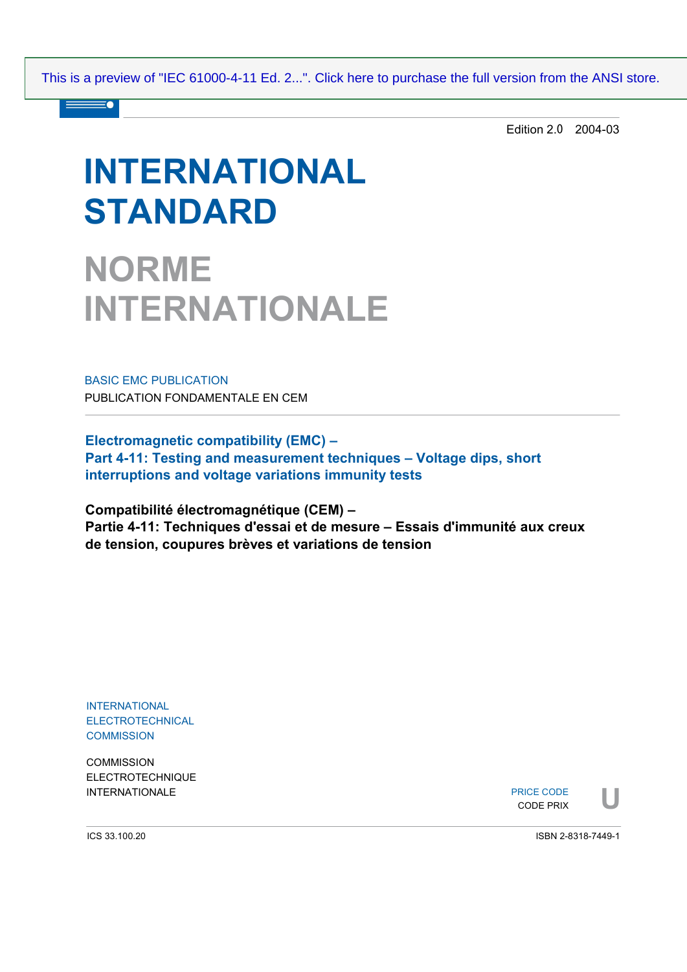Edition 2.0 2004-03

# **INTERNATIONAL STANDARD**

## **NORME INTERNATIONALE**

BASIC EMC PUBLICATION PUBLICATION FONDAMENTALE EN CEM

**Electromagnetic compatibility (EMC) – Part 4-11: Testing and measurement techniques – Voltage dips, short interruptions and voltage variations immunity tests** 

**Compatibilité électromagnétique (CEM) – Partie 4-11: Techniques d'essai et de mesure – Essais d'immunité aux creux de tension, coupures brèves et variations de tension** 

INTERNATIONAL ELECTROTECHNICAL **COMMISSION** 

**COMMISSION** ELECTROTECHNIQUE

INTERNATIONALE PRICE CODE PRICE CODE PRICE CODE PRICE CODE PRIX PRICE CODE CODE PRIX

ICS 33.100.20

ISBN 2-8318-7449-1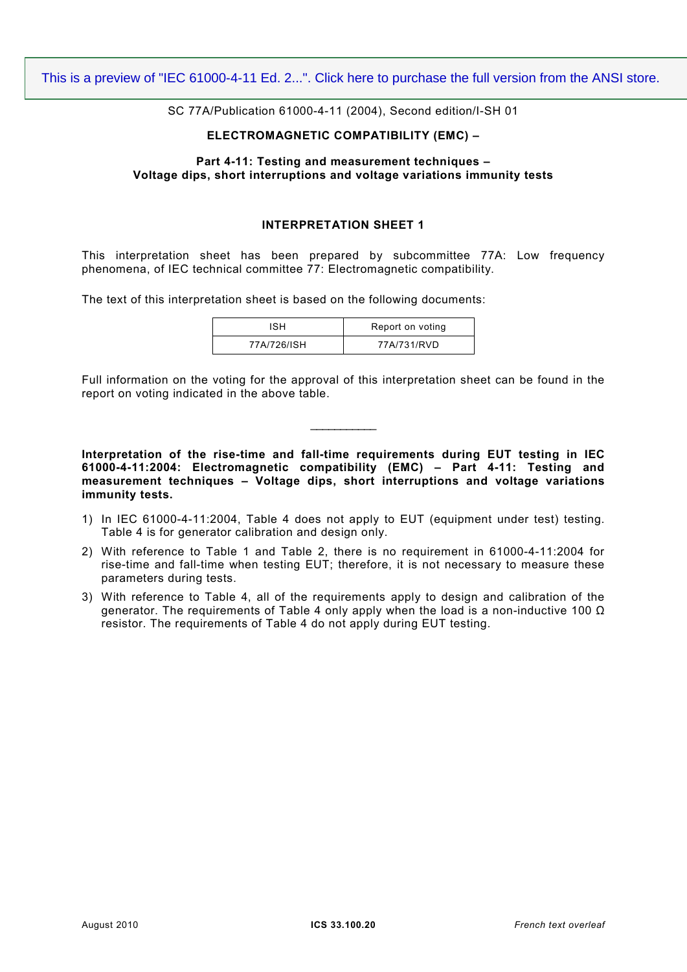SC 77A/Publication 61000-4-11 (2004), Second edition/I-SH 01

#### **ELECTROMAGNETIC COMPATIBILITY (EMC) –**

#### **Part 4-11: Testing and measurement techniques – Voltage dips, short interruptions and voltage variations immunity tests**

#### **INTERPRETATION SHEET 1**

This interpretation sheet has been prepared by subcommittee 77A: Low frequency phenomena, of IEC technical committee 77: Electromagnetic compatibility.

The text of this interpretation sheet is based on the following documents:

| ISH         | Report on voting |
|-------------|------------------|
| 77A/726/ISH | 77A/731/RVD      |

Full information on the voting for the approval of this interpretation sheet can be found in the report on voting indicated in the above table.

 $\frac{1}{2}$ 

**Interpretation of the rise-time and fall-time requirements during EUT testing in IEC 61000-4-11:2004: Electromagnetic compatibility (EMC) – Part 4-11: Testing and measurement techniques – Voltage dips, short interruptions and voltage variations immunity tests.** 

- 1) In IEC 61000-4-11:2004, Table 4 does not apply to EUT (equipment under test) testing. Table 4 is for generator calibration and design only.
- 2) With reference to Table 1 and Table 2, there is no requirement in 61000-4-11:2004 for rise-time and fall-time when testing EUT; therefore, it is not necessary to measure these parameters during tests.
- 3) With reference to Table 4, all of the requirements apply to design and calibration of the generator. The requirements of Table 4 only apply when the load is a non-inductive 100  $\Omega$ resistor. The requirements of Table 4 do not apply during EUT testing.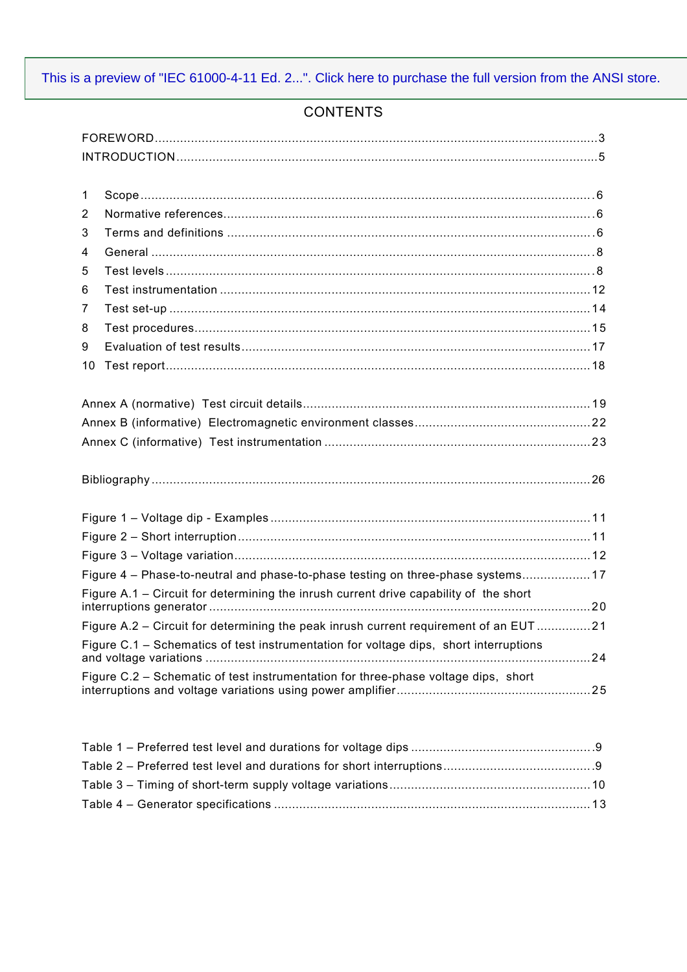| 1  |                                                                                       |
|----|---------------------------------------------------------------------------------------|
| 2  |                                                                                       |
| 3  |                                                                                       |
| 4  |                                                                                       |
| 5  |                                                                                       |
| 6  |                                                                                       |
| 7  |                                                                                       |
| 8  |                                                                                       |
| 9  |                                                                                       |
| 10 |                                                                                       |
|    |                                                                                       |
|    |                                                                                       |
|    |                                                                                       |
|    |                                                                                       |
|    |                                                                                       |
|    |                                                                                       |
|    |                                                                                       |
|    |                                                                                       |
|    |                                                                                       |
|    |                                                                                       |
|    | Figure 4 - Phase-to-neutral and phase-to-phase testing on three-phase systems17       |
|    | Figure A.1 – Circuit for determining the inrush current drive capability of the short |
|    | Figure A.2 - Circuit for determining the peak inrush current requirement of an EUT 21 |
|    | Figure C.1 - Schematics of test instrumentation for voltage dips, short interruptions |
|    | Figure C.2 - Schematic of test instrumentation for three-phase voltage dips, short    |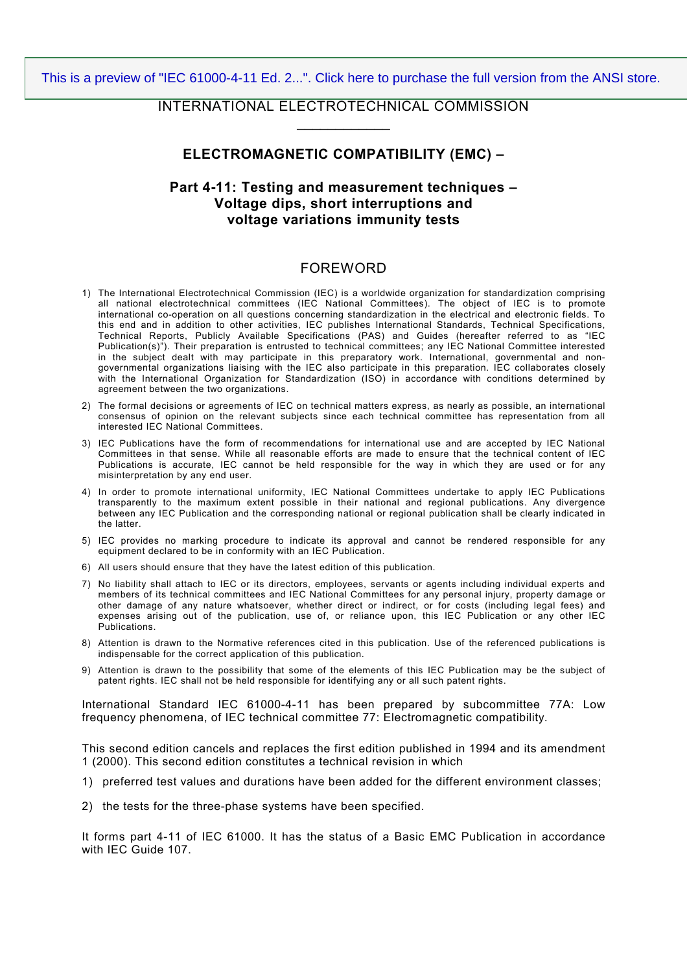## INTERNATIONAL ELECTROTECHNICAL COMMISSION  $\frac{1}{2}$

## **ELECTROMAGNETIC COMPATIBILITY (EMC) –**

## **Part 4-11: Testing and measurement techniques – Voltage dips, short interruptions and voltage variations immunity tests**

#### FOREWORD

- 1) The International Electrotechnical Commission (IEC) is a worldwide organization for standardization comprising all national electrotechnical committees (IEC National Committees). The object of IEC is to promote international co-operation on all questions concerning standardization in the electrical and electronic fields. To this end and in addition to other activities, IEC publishes International Standards, Technical Specifications, Technical Reports, Publicly Available Specifications (PAS) and Guides (hereafter referred to as "IEC Publication(s)"). Their preparation is entrusted to technical committees; any IEC National Committee interested in the subject dealt with may participate in this preparatory work. International, governmental and nongovernmental organizations liaising with the IEC also participate in this preparation. IEC collaborates closely with the International Organization for Standardization (ISO) in accordance with conditions determined by agreement between the two organizations.
- 2) The formal decisions or agreements of IEC on technical matters express, as nearly as possible, an international consensus of opinion on the relevant subjects since each technical committee has representation from all interested IEC National Committees.
- 3) IEC Publications have the form of recommendations for international use and are accepted by IEC National Committees in that sense. While all reasonable efforts are made to ensure that the technical content of IEC Publications is accurate, IEC cannot be held responsible for the way in which they are used or for any misinterpretation by any end user.
- 4) In order to promote international uniformity, IEC National Committees undertake to apply IEC Publications transparently to the maximum extent possible in their national and regional publications. Any divergence between any IEC Publication and the corresponding national or regional publication shall be clearly indicated in the latter.
- 5) IEC provides no marking procedure to indicate its approval and cannot be rendered responsible for any equipment declared to be in conformity with an IEC Publication.
- 6) All users should ensure that they have the latest edition of this publication.
- 7) No liability shall attach to IEC or its directors, employees, servants or agents including individual experts and members of its technical committees and IEC National Committees for any personal injury, property damage or other damage of any nature whatsoever, whether direct or indirect, or for costs (including legal fees) and expenses arising out of the publication, use of, or reliance upon, this IEC Publication or any other IEC Publications.
- 8) Attention is drawn to the Normative references cited in this publication. Use of the referenced publications is indispensable for the correct application of this publication.
- 9) Attention is drawn to the possibility that some of the elements of this IEC Publication may be the subject of patent rights. IEC shall not be held responsible for identifying any or all such patent rights.

International Standard IEC 61000-4-11 has been prepared by subcommittee 77A: Low frequency phenomena, of IEC technical committee 77: Electromagnetic compatibility.

This second edition cancels and replaces the first edition published in 1994 and its amendment 1 (2000). This second edition constitutes a technical revision in which

- 1) preferred test values and durations have been added for the different environment classes;
- 2) the tests for the three-phase systems have been specified.

It forms part 4-11 of IEC 61000. It has the status of a Basic EMC Publication in accordance with IEC Guide 107.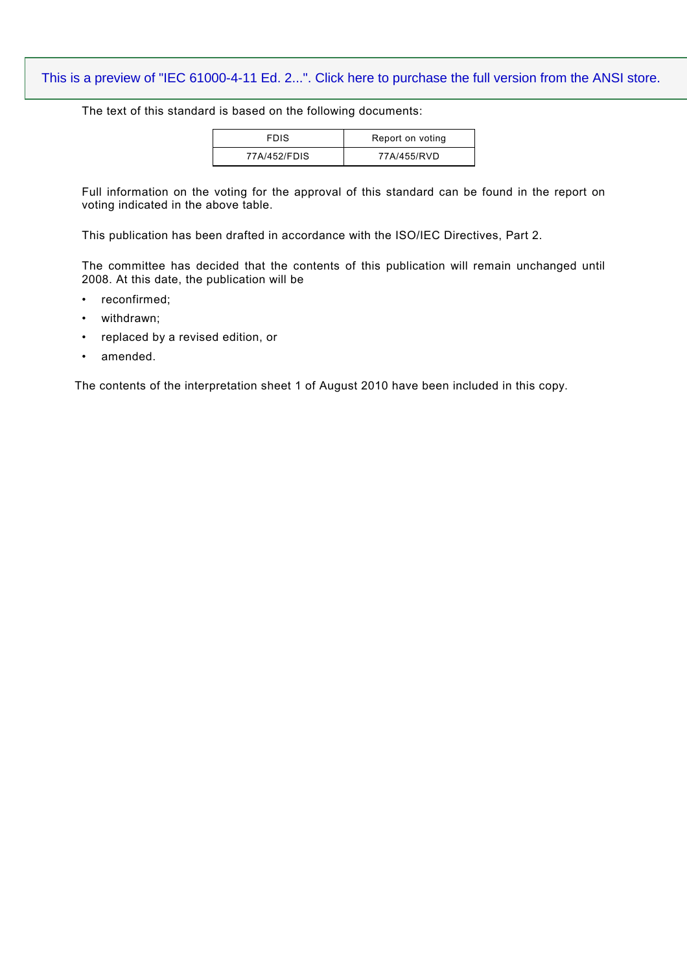The text of this standard is based on the following documents:

| <b>FDIS</b>  | Report on voting |
|--------------|------------------|
| 77A/452/FDIS | 77A/455/RVD      |

Full information on the voting for the approval of this standard can be found in the report on voting indicated in the above table.

This publication has been drafted in accordance with the ISO/IEC Directives, Part 2.

The committee has decided that the contents of this publication will remain unchanged until 2008. At this date, the publication will be

- $\cdot$  reconfirmed;
- withdrawn;
- replaced by a revised edition, or
- amended.

The contents of the interpretation sheet 1 of August 2010 have been included in this copy.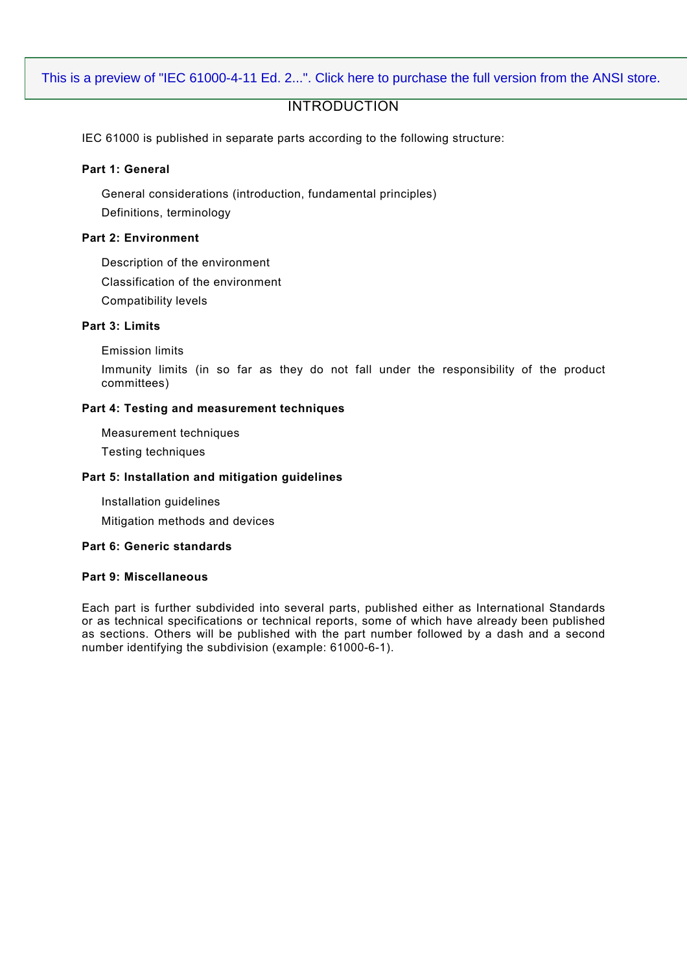## **INTRODUCTION**

IEC 61000 is published in separate parts according to the following structure:

#### **Part 1: General**

General considerations (introduction, fundamental principles) Definitions, terminology

#### **Part 2: Environment**

Description of the environment

Classification of the environment

Compatibility levels

#### **Part 3: Limits**

Emission limits

Immunity limits (in so far as they do not fall under the responsibility of the product committees)

#### **Part 4: Testing and measurement techniques**

Measurement techniques Testing techniques

#### **Part 5: Installation and mitigation guidelines**

Installation guidelines Mitigation methods and devices

### **Part 6: Generic standards**

#### **Part 9: Miscellaneous**

Each part is further subdivided into several parts, published either as International Standards or as technical specifications or technical reports, some of which have already been published as sections. Others will be published with the part number followed by a dash and a second number identifying the subdivision (example: 61000-6-1).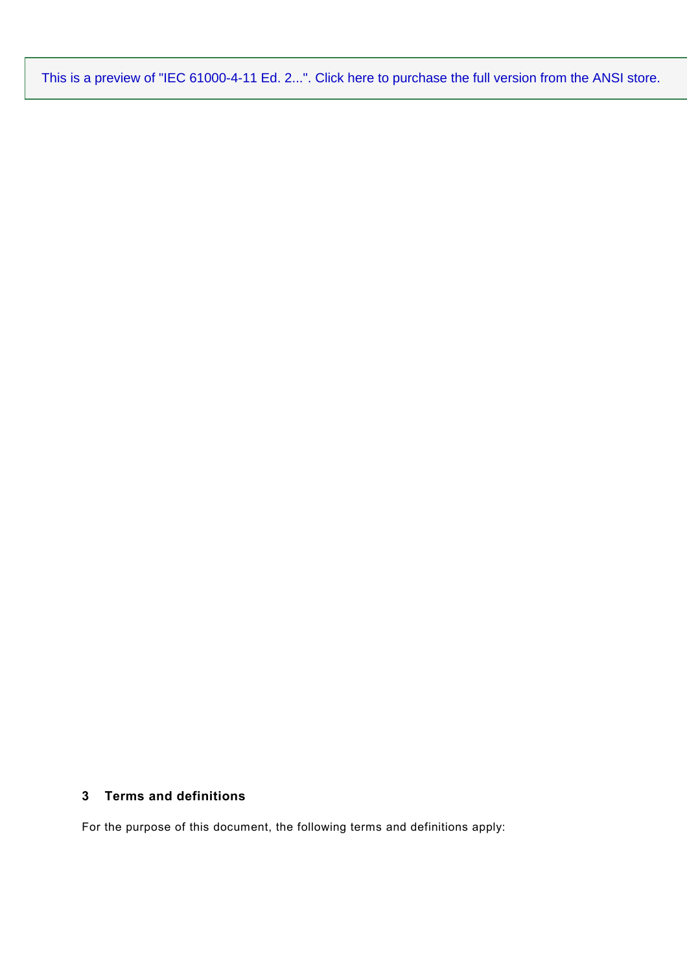## **3 Terms and definitions**

For the purpose of this document, the following terms and definitions apply: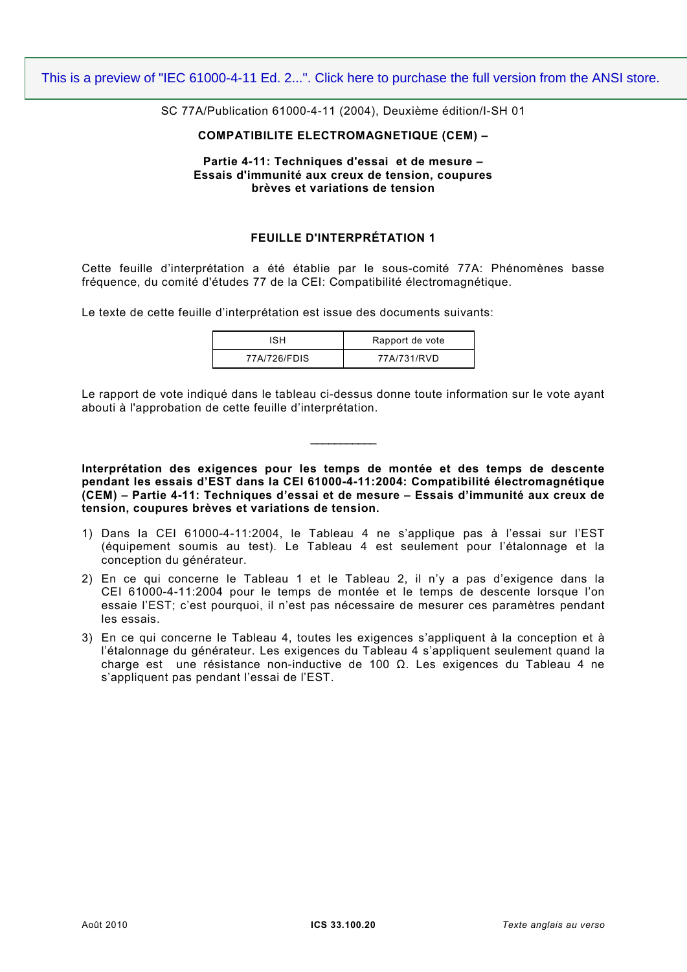SC 77A/Publication 61000-4-11 (2004), Deuxième édition/I-SH 01

#### **COMPATIBILITE ELECTROMAGNETIQUE (CEM) –**

#### **Partie 4-11: Techniques d'essai et de mesure – Essais d'immunité aux creux de tension, coupures brèves et variations de tension**

#### **FEUILLE D'INTERPRÉTATION 1**

Cette feuille d'interprétation a été établie par le sous-comité 77A: Phénomènes basse fréquence, du comité d'études 77 de la CEI: Compatibilité électromagnétique.

Le texte de cette feuille d'interprétation est issue des documents suivants:

| ISH.         | Rapport de vote |
|--------------|-----------------|
| 77A/726/FDIS | 77A/731/RVD     |

Le rapport de vote indiqué dans le tableau ci-dessus donne toute information sur le vote ayant abouti à l'approbation de cette feuille d'interprétation.

 $\overline{\phantom{a}}$ 

**Interprétation des exigences pour les temps de montée et des temps de descente pendant les essais d'EST dans la CEI 61000-4-11:2004: Compatibilité électromagnétique (CEM) – Partie 4-11: Techniques d'essai et de mesure – Essais d'immunité aux creux de tension, coupures brèves et variations de tension.** 

- 1) Dans la CEI 61000-4-11:2004, le Tableau 4 ne s'applique pas à l'essai sur l'EST (équipement soumis au test). Le Tableau 4 est seulement pour l'étalonnage et la conception du générateur.
- 2) En ce qui concerne le Tableau 1 et le Tableau 2, il n'y a pas d'exigence dans la CEI 61000-4-11:2004 pour le temps de montée et le temps de descente lorsque l'on essaie l'EST; c'est pourquoi, il n'est pas nécessaire de mesurer ces paramètres pendant les essais.
- 3) En ce qui concerne le Tableau 4, toutes les exigences s'appliquent à la conception et à l'étalonnage du générateur. Les exigences du Tableau 4 s'appliquent seulement quand la charge est une résistance non-inductive de 100 Ω. Les exigences du Tableau 4 ne s'appliquent pas pendant l'essai de l'EST.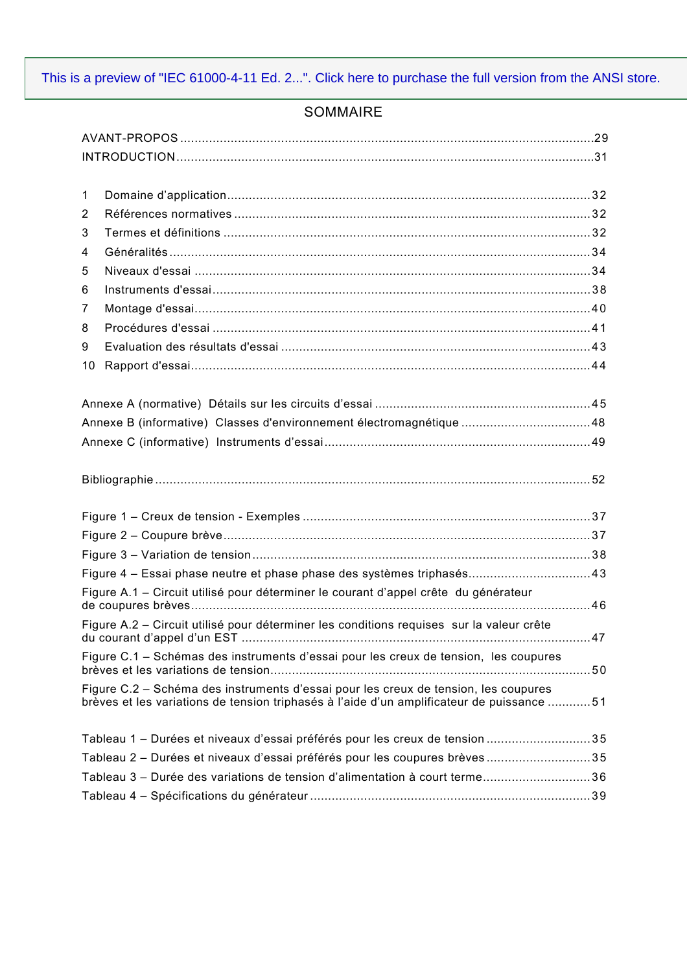| SOMMAIRE |
|----------|
|----------|

| 1  |                                                                                                                                                                                  |  |
|----|----------------------------------------------------------------------------------------------------------------------------------------------------------------------------------|--|
| 2  |                                                                                                                                                                                  |  |
| 3  |                                                                                                                                                                                  |  |
| 4  |                                                                                                                                                                                  |  |
| 5  |                                                                                                                                                                                  |  |
| 6  |                                                                                                                                                                                  |  |
| 7  |                                                                                                                                                                                  |  |
| 8  |                                                                                                                                                                                  |  |
| 9  |                                                                                                                                                                                  |  |
| 10 |                                                                                                                                                                                  |  |
|    |                                                                                                                                                                                  |  |
|    |                                                                                                                                                                                  |  |
|    | Annexe B (informative) Classes d'environnement électromagnétique 48                                                                                                              |  |
|    |                                                                                                                                                                                  |  |
|    |                                                                                                                                                                                  |  |
|    |                                                                                                                                                                                  |  |
|    |                                                                                                                                                                                  |  |
|    |                                                                                                                                                                                  |  |
|    |                                                                                                                                                                                  |  |
|    |                                                                                                                                                                                  |  |
|    | Figure 4 - Essai phase neutre et phase phase des systèmes triphasés 43                                                                                                           |  |
|    | Figure A.1 – Circuit utilisé pour déterminer le courant d'appel crête du générateur                                                                                              |  |
|    |                                                                                                                                                                                  |  |
|    | Figure A.2 - Circuit utilisé pour déterminer les conditions requises sur la valeur crête                                                                                         |  |
|    | Figure C.1 – Schémas des instruments d'essai pour les creux de tension, les coupures                                                                                             |  |
|    | Figure C.2 – Schéma des instruments d'essai pour les creux de tension, les coupures<br>brèves et les variations de tension triphasés à l'aide d'un amplificateur de puissance 51 |  |
|    | Tableau 1 – Durées et niveaux d'essai préférés pour les creux de tension 35                                                                                                      |  |
|    |                                                                                                                                                                                  |  |
|    |                                                                                                                                                                                  |  |
|    | Tableau 2 – Durées et niveaux d'essai préférés pour les coupures brèves 35<br>Tableau 3 – Durée des variations de tension d'alimentation à court terme36                         |  |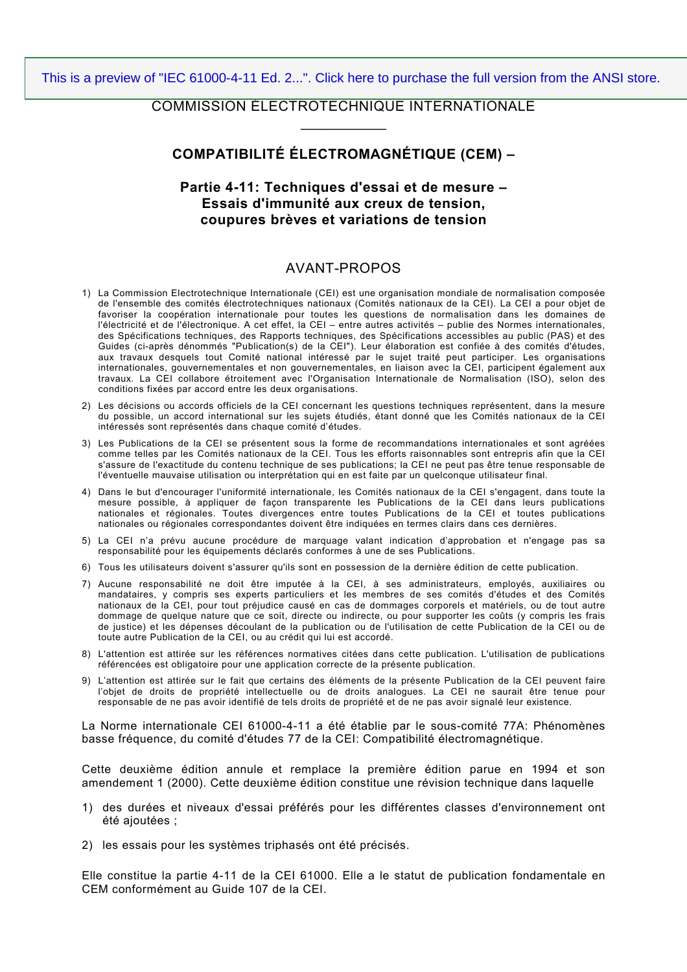## **COMMISSION ÉLECTROTECHNIQUE INTERNATIONALE**

## **COMPATIBILITÉ ÉLECTROMAGNÉTIQUE (CEM) –**

## Partie 4-11: Techniques d'essai et de mesure -Essais d'immunité aux creux de tension, coupures brèves et variations de tension

#### **AVANT-PROPOS**

- 1) La Commission Electrotechnique Internationale (CEI) est une organisation mondiale de normalisation composée de l'ensemble des comités électrotechniques nationaux (Comités nationaux de la CEI). La CEI a pour objet de favoriser la coopération internationale pour toutes les questions de normalisation dans les domaines de l'électricité et de l'électronique. A cet effet, la CEI - entre autres activités - publie des Normes internationales, des Spécifications techniques, des Rapports techniques, des Spécifications accessibles au public (PAS) et des Guides (ci-après dénommés "Publication(s) de la CEI"). Leur élaboration est confiée à des comités d'études, aux travaux desquels tout Comité national intéressé par le sujet traité peut participer. Les organisations internationales, gouvernementales et non gouvernementales, en liaison avec la CEI, participent également aux travaux. La CEI collabore étroitement avec l'Organisation Internationale de Normalisation (ISO), selon des conditions fixées par accord entre les deux organisations.
- 2) Les décisions ou accords officiels de la CEI concernant les questions techniques représentent, dans la mesure du possible, un accord international sur les sujets étudiés, étant donné que les Comités nationaux de la CEI intéressés sont représentés dans chaque comité d'études.
- 3) Les Publications de la CEI se présentent sous la forme de recommandations internationales et sont agréées comme telles par les Comités nationaux de la CEI. Tous les efforts raisonnables sont entrepris afin que la CEI s'assure de l'exactitude du contenu technique de ses publications; la CEI ne peut pas être tenue responsable de l'éventuelle mauvaise utilisation ou interprétation qui en est faite par un quelconque utilisateur final.
- 4) Dans le but d'encourager l'uniformité internationale, les Comités nationaux de la CEI s'engagent, dans toute la mesure possible, à appliquer de facon transparente les Publications de la CEI dans leurs publications nationales et régionales. Toutes divergences entre toutes Publications de la CEI et toutes publications nationales ou régionales correspondantes doivent être indiquées en termes clairs dans ces dernières.
- 5) La CEI n'a prévu aucune procédure de marquage valant indication d'approbation et n'engage pas sa responsabilité pour les équipements déclarés conformes à une de ses Publications.
- 6) Tous les utilisateurs doivent s'assurer qu'ils sont en possession de la dernière édition de cette publication.
- 7) Aucune responsabilité ne doit être imputée à la CEI, à ses administrateurs, employés, auxiliaires ou mandataires, y compris ses experts particuliers et les membres de ses comités d'études et des Comités nationaux de la CEI, pour tout préjudice causé en cas de dommages corporels et matériels, ou de tout autre dommage de quelque nature que ce soit, directe ou indirecte, ou pour supporter les coûts (y compris les frais<br>de justice) et les dépenses découlant de la publication ou de l'utilisation de cette Publication de la CEI ou de toute autre Publication de la CEI, ou au crédit qui lui est accordé.
- 8) L'attention est attirée sur les références normatives citées dans cette publication. L'utilisation de publications référencées est obligatoire pour une application correcte de la présente publication.
- 9) L'attention est attirée sur le fait que certains des éléments de la présente Publication de la CEI peuvent faire<br>l'objet de droits de propriété intellectuelle ou de droits analogues. La CEI ne saurait être tenue pour responsable de ne pas avoir identifié de tels droits de propriété et de ne pas avoir signalé leur existence.

La Norme internationale CEI 61000-4-11 a été établie par le sous-comité 77A: Phénomènes basse fréquence, du comité d'études 77 de la CEI: Compatibilité électromagnétique.

Cette deuxième édition annule et remplace la première édition parue en 1994 et son amendement 1 (2000). Cette deuxième édition constitue une révision technique dans laquelle

- 1) des durées et niveaux d'essai préférés pour les différentes classes d'environnement ont été ajoutées ;
- 2) les essais pour les systèmes triphasés ont été précisés.

Elle constitue la partie 4-11 de la CEI 61000. Elle a le statut de publication fondamentale en CEM conformément au Guide 107 de la CEI.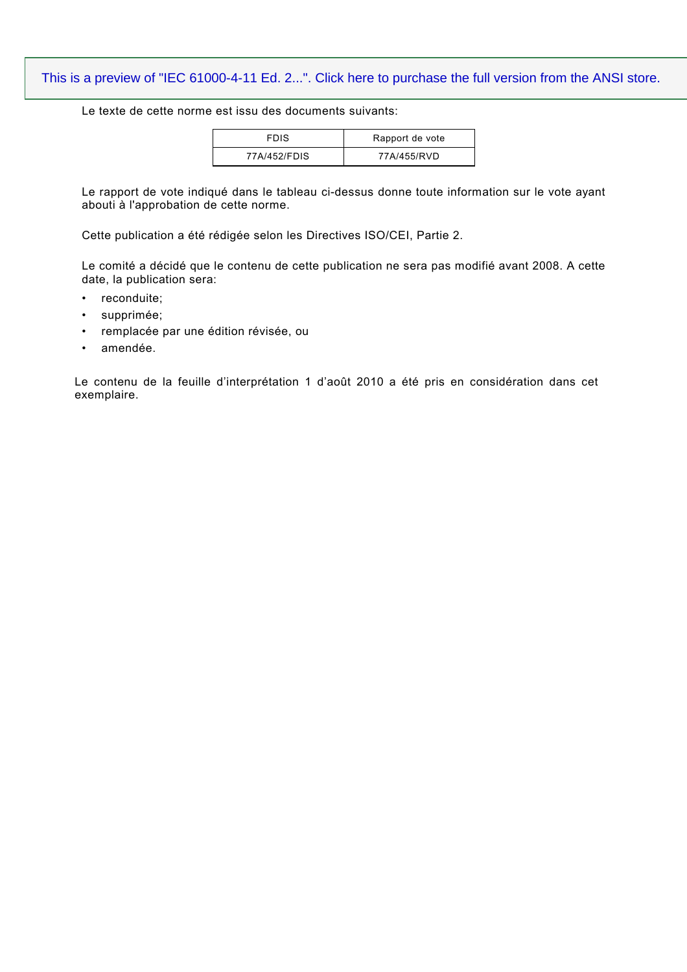Le texte de cette norme est issu des documents suivants:

| <b>FDIS</b>  | Rapport de vote |
|--------------|-----------------|
| 77A/452/FDIS | 77A/455/RVD     |

Le rapport de vote indiqué dans le tableau ci-dessus donne toute information sur le vote ayant abouti à l'approbation de cette norme.

Cette publication a été rédigée selon les Directives ISO/CEI, Partie 2.

Le comité a décidé que le contenu de cette publication ne sera pas modifié avant 2008. A cette date, la publication sera:

- $\bullet$ reconduite:
- supprimée;  $\ddot{\phantom{0}}$
- remplacée par une édition révisée, ou  $\bullet$
- amendée.  $\bullet$

Le contenu de la feuille d'interprétation 1 d'août 2010 a été pris en considération dans cet exemplaire.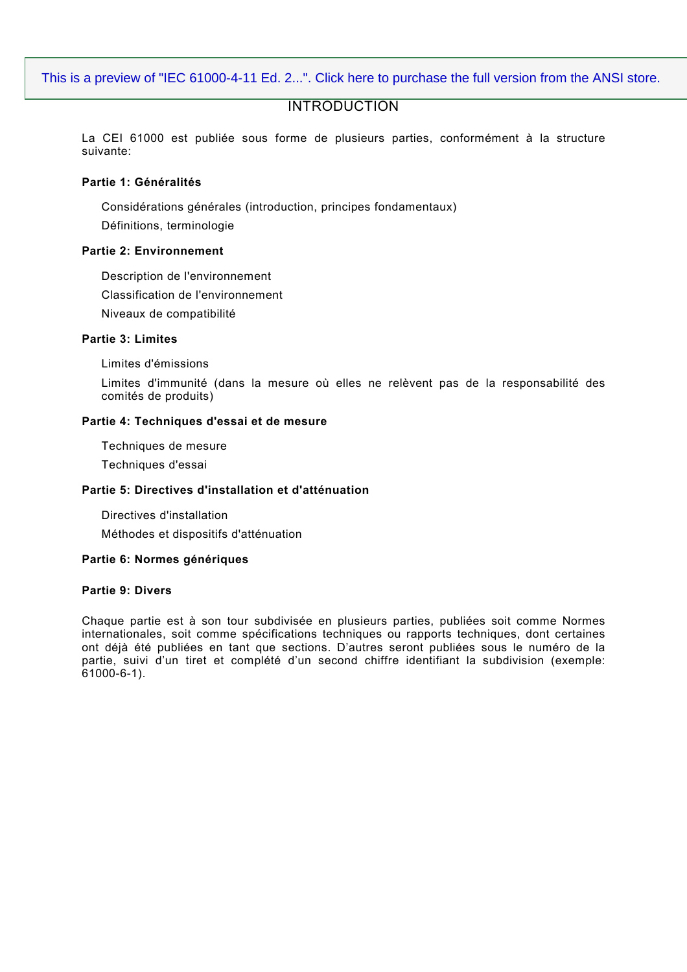### **INTRODUCTION**

La CEI 61000 est publiée sous forme de plusieurs parties, conformément à la structure suivante:

#### Partie 1: Généralités

Considérations générales (introduction, principes fondamentaux) Définitions, terminologie

#### **Partie 2: Environnement**

Description de l'environnement

Classification de l'environnement

Niveaux de compatibilité

#### Partie 3: Limites

Limites d'émissions

Limites d'immunité (dans la mesure où elles ne relèvent pas de la responsabilité des comités de produits)

#### Partie 4: Techniques d'essai et de mesure

Techniques de mesure

Techniques d'essai

#### Partie 5: Directives d'installation et d'atténuation

Directives d'installation Méthodes et dispositifs d'atténuation

#### Partie 6: Normes génériques

#### Partie 9: Divers

Chaque partie est à son tour subdivisée en plusieurs parties, publiées soit comme Normes internationales, soit comme spécifications techniques ou rapports techniques, dont certaines ont déjà été publiées en tant que sections. D'autres seront publiées sous le numéro de la partie, suivi d'un tiret et complété d'un second chiffre identifiant la subdivision (exemple:  $61000 - 6 - 1$ ).